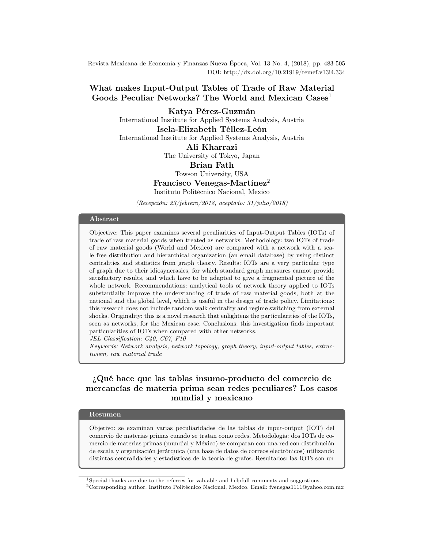Revista Mexicana de Economía y Finanzas Nueva Época, Vol. 13 No. 4, (2018), pp. 483-505 DOI: http://dx.doi.org/10.21919/remef.v13i4.334

# What makes Input-Output Tables of Trade of Raw Material Goods Peculiar Networks? The World and Mexican Cases<sup>[1](#page-0-0)</sup>

Katya Pérez-Guzmán International Institute for Applied Systems Analysis, Austria Isela-Elizabeth Téllez-León International Institute for Applied Systems Analysis, Austria Ali Kharrazi The University of Tokyo, Japan

### Brian Fath

Towson University, USA

### Francisco Venegas-Martínez<sup>[2](#page-0-1)</sup>

Instituto Politécnico Nacional, Mexico

(Recepción: 23/febrero/2018, aceptado: 31/julio/2018)

#### Abstract

Objective: This paper examines several peculiarities of Input-Output Tables (IOTs) of trade of raw material goods when treated as networks. Methodology: two IOTs of trade of raw material goods (World and Mexico) are compared with a network with a scale free distribution and hierarchical organization (an email database) by using distinct centralities and statistics from graph theory. Results: IOTs are a very particular type of graph due to their idiosyncrasies, for which standard graph measures cannot provide satisfactory results, and which have to be adapted to give a fragmented picture of the whole network. Recommendations: analytical tools of network theory applied to IOTs substantially improve the understanding of trade of raw material goods, both at the national and the global level, which is useful in the design of trade policy. Limitations: this research does not include random walk centrality and regime switching from external shocks. Originality: this is a novel research that enlightens the particularities of the IOTs, seen as networks, for the Mexican case. Conclusions: this investigation finds important particularities of IOTs when compared with other networks.

JEL Classification: C40, C67, F10

Keywords: Network analysis, network topology, graph theory, input-output tables, extractivism, raw material trade

# ¿Qué hace que las tablas insumo-producto del comercio de mercancías de materia prima sean redes peculiares? Los casos mundial y mexicano

#### Resumen

Objetivo: se examinan varias peculiaridades de las tablas de input-output (IOT) del comercio de materias primas cuando se tratan como redes. Metodología: dos IOTs de comercio de materias primas (mundial y México) se comparan con una red con distribución de escala y organización jerárquica (una base de datos de correos electrónicos) utilizando distintas centralidades y estadísticas de la teoría de grafos. Resultados: las IOTs son un

<span id="page-0-1"></span><sup>2</sup>Corresponding author. Instituto Politécnico Nacional, Mexico. Email: fvenegas1111@yahoo.com.mx

<span id="page-0-0"></span><sup>1</sup>Special thanks are due to the referees for valuable and helpfull comments and suggestions.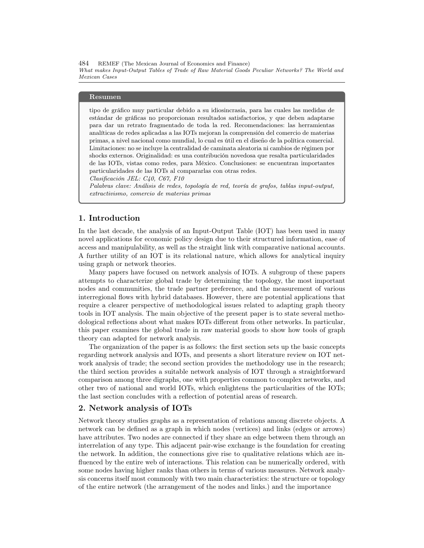484 REMEF (The Mexican Journal of Economics and Finance)

What makes Input-Output Tables of Trade of Raw Material Goods Peculiar Networks? The World and Mexican Cases

#### Resumen

tipo de gráfico muy particular debido a su idiosincrasia, para las cuales las medidas de estándar de gráficas no proporcionan resultados satisfactorios, y que deben adaptarse para dar un retrato fragmentado de toda la red. Recomendaciones: las herramientas analíticas de redes aplicadas a las IOTs mejoran la comprensión del comercio de materias primas, a nivel nacional como mundial, lo cual es útil en el diseño de la política comercial. Limitaciones: no se incluye la centralidad de caminata aleatoria ni cambios de régimen por shocks externos. Originalidad: es una contribución novedosa que resalta particularidades de las IOTs, vistas como redes, para México. Conclusiones: se encuentran importantes particularidades de las IOTs al compararlas con otras redes.

Clasificación JEL: C40, C67, F10

Palabras clave: Análisis de redes, topología de red, teoría de grafos, tablas input-output, extractivismo, comercio de materias primas

#### 1. Introduction

In the last decade, the analysis of an Input-Output Table (IOT) has been used in many novel applications for economic policy design due to their structured information, ease of access and manipulability, as well as the straight link with comparative national accounts. A further utility of an IOT is its relational nature, which allows for analytical inquiry using graph or network theories.

Many papers have focused on network analysis of IOTs. A subgroup of these papers attempts to characterize global trade by determining the topology, the most important nodes and communities, the trade partner preference, and the measurement of various interregional flows with hybrid databases. However, there are potential applications that require a clearer perspective of methodological issues related to adapting graph theory tools in IOT analysis. The main objective of the present paper is to state several methodological reflections about what makes IOTs different from other networks. In particular, this paper examines the global trade in raw material goods to show how tools of graph theory can adapted for network analysis.

The organization of the paper is as follows: the first section sets up the basic concepts regarding network analysis and IOTs, and presents a short literature review on IOT network analysis of trade; the second section provides the methodology use in the research; the third section provides a suitable network analysis of IOT through a straightforward comparison among three digraphs, one with properties common to complex networks, and other two of national and world IOTs, which enlightens the particularities of the IOTs; the last section concludes with a reflection of potential areas of research.

#### 2. Network analysis of IOTs

Network theory studies graphs as a representation of relations among discrete objects. A network can be defined as a graph in which nodes (vertices) and links (edges or arrows) have attributes. Two nodes are connected if they share an edge between them through an interrelation of any type. This adjacent pair-wise exchange is the foundation for creating the network. In addition, the connections give rise to qualitative relations which are influenced by the entire web of interactions. This relation can be numerically ordered, with some nodes having higher ranks than others in terms of various measures. Network analysis concerns itself most commonly with two main characteristics: the structure or topology of the entire network (the arrangement of the nodes and links.) and the importance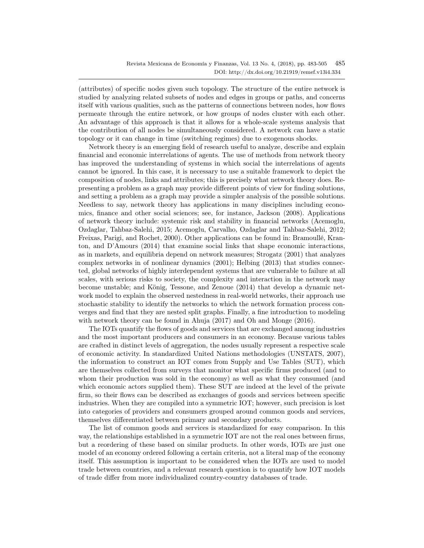(attributes) of specific nodes given such topology. The structure of the entire network is studied by analyzing related subsets of nodes and edges in groups or paths, and concerns itself with various qualities, such as the patterns of connections between nodes, how flows permeate through the entire network, or how groups of nodes cluster with each other. An advantage of this approach is that it allows for a whole-scale systems analysis that the contribution of all nodes be simultaneously considered. A network can have a static topology or it can change in time (switching regimes) due to exogenous shocks.

Network theory is an emerging field of research useful to analyze, describe and explain financial and economic interrelations of agents. The use of methods from network theory has improved the understanding of systems in which social the interrelations of agents cannot be ignored. In this case, it is necessary to use a suitable framework to depict the composition of nodes, links and attributes; this is precisely what network theory does. Representing a problem as a graph may provide different points of view for finding solutions, and setting a problem as a graph may provide a simpler analysis of the possible solutions. Needless to say, network theory has applications in many disciplines including economics, finance and other social sciences; see, for instance, Jackson (2008). Applications of network theory include: systemic risk and stability in financial networks (Acemoglu, Ozdaglar, Tahbaz-Salehi, 2015; Acemoglu, Carvalho, Ozdaglar and Tahbaz-Salehi, 2012; Freixas, Parigi, and Rochet, 2000). Other applications can be found in: Bramoullé, Kranton, and D'Amours (2014) that examine social links that shape economic interactions, as in markets, and equilibria depend on network measures; Strogatz (2001) that analyzes complex networks in of nonlinear dynamics (2001); Helbing (2013) that studies connected, global networks of highly interdependent systems that are vulnerable to failure at all scales, with serious risks to society, the complexity and interaction in the network may become unstable; and König, Tessone, and Zenoue (2014) that develop a dynamic network model to explain the observed nestedness in real-world networks, their approach use stochastic stability to identify the networks to which the network formation process converges and find that they are nested split graphs. Finally, a fine introduction to modeling with network theory can be found in Ahuja (2017) and Oh and Monge (2016).

The IOTs quantify the flows of goods and services that are exchanged among industries and the most important producers and consumers in an economy. Because various tables are crafted in distinct levels of aggregation, the nodes usually represent a respective scale of economic activity. In standardized United Nations methodologies (UNSTATS, 2007), the information to construct an IOT comes from Supply and Use Tables (SUT), which are themselves collected from surveys that monitor what specific firms produced (and to whom their production was sold in the economy) as well as what they consumed (and which economic actors supplied them). These SUT are indeed at the level of the private firm, so their flows can be described as exchanges of goods and services between specific industries. When they are compiled into a symmetric IOT; however, such precision is lost into categories of providers and consumers grouped around common goods and services, themselves differentiated between primary and secondary products.

The list of common goods and services is standardized for easy comparison. In this way, the relationships established in a symmetric IOT are not the real ones between firms, but a reordering of these based on similar products. In other words, IOTs are just one model of an economy ordered following a certain criteria, not a literal map of the economy itself. This assumption is important to be considered when the IOTs are used to model trade between countries, and a relevant research question is to quantify how IOT models of trade differ from more individualized country-country databases of trade.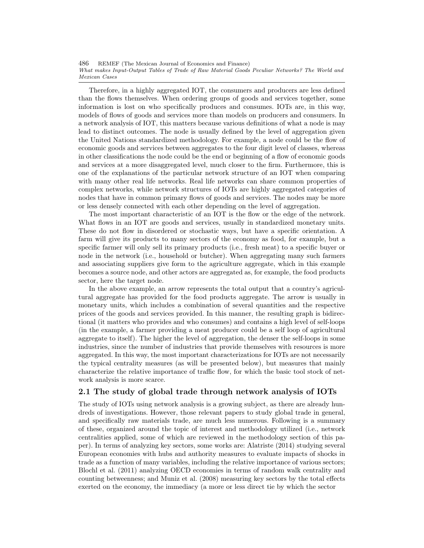486 REMEF (The Mexican Journal of Economics and Finance) What makes Input-Output Tables of Trade of Raw Material Goods Peculiar Networks? The World and Mexican Cases

Therefore, in a highly aggregated IOT, the consumers and producers are less defined than the flows themselves. When ordering groups of goods and services together, some information is lost on who specifically produces and consumes. IOTs are, in this way, models of flows of goods and services more than models on producers and consumers. In a network analysis of IOT, this matters because various definitions of what a node is may lead to distinct outcomes. The node is usually defined by the level of aggregation given the United Nations standardized methodology. For example, a node could be the flow of economic goods and services between aggregates to the four digit level of classes, whereas in other classifications the node could be the end or beginning of a flow of economic goods and services at a more disaggregated level, much closer to the firm. Furthermore, this is one of the explanations of the particular network structure of an IOT when comparing with many other real life networks. Real life networks can share common properties of complex networks, while network structures of IOTs are highly aggregated categories of nodes that have in common primary flows of goods and services. The nodes may be more or less densely connected with each other depending on the level of aggregation.

The most important characteristic of an IOT is the flow or the edge of the network. What flows in an IOT are goods and services, usually in standardized monetary units. These do not flow in disordered or stochastic ways, but have a specific orientation. A farm will give its products to many sectors of the economy as food, for example, but a specific farmer will only sell its primary products (i.e., fresh meat) to a specific buyer or node in the network (i.e., household or butcher). When aggregating many such farmers and associating suppliers give form to the agriculture aggregate, which in this example becomes a source node, and other actors are aggregated as, for example, the food products sector, here the target node.

In the above example, an arrow represents the total output that a country's agricultural aggregate has provided for the food products aggregate. The arrow is usually in monetary units, which includes a combination of several quantities and the respective prices of the goods and services provided. In this manner, the resulting graph is bidirectional (it matters who provides and who consumes) and contains a high level of self-loops (in the example, a farmer providing a meat producer could be a self loop of agricultural aggregate to itself). The higher the level of aggregation, the denser the self-loops in some industries, since the number of industries that provide themselves with resources is more aggregated. In this way, the most important characterizations for IOTs are not necessarily the typical centrality measures (as will be presented below), but measures that mainly characterize the relative importance of traffic flow, for which the basic tool stock of network analysis is more scarce.

## 2.1 The study of global trade through network analysis of IOTs

The study of IOTs using network analysis is a growing subject, as there are already hundreds of investigations. However, those relevant papers to study global trade in general, and specifically raw materials trade, are much less numerous. Following is a summary of these, organized around the topic of interest and methodology utilized (i.e., network centralities applied, some of which are reviewed in the methodology section of this paper). In terms of analyzing key sectors, some works are: Alatriste (2014) studying several European economies with hubs and authority measures to evaluate impacts of shocks in trade as a function of many variables, including the relative importance of various sectors; Blochl et al. (2011) analyzing OECD economies in terms of random walk centrality and counting betweenness; and Muniz et al. (2008) measuring key sectors by the total effects exerted on the economy, the immediacy (a more or less direct tie by which the sector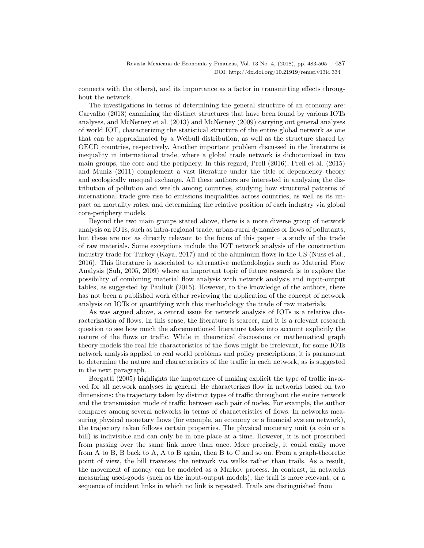connects with the others), and its importance as a factor in transmitting effects throughout the network.

The investigations in terms of determining the general structure of an economy are: Carvalho (2013) examining the distinct structures that have been found by various IOTs analyses, and McNerney et al. (2013) and McNerney (2009) carrying out general analyses of world IOT, characterizing the statistical structure of the entire global network as one that can be approximated by a Weibull distribution, as well as the structure shared by OECD countries, respectively. Another important problem discussed in the literature is inequality in international trade, where a global trade network is dichotomized in two main groups, the core and the periphery. In this regard, Prell (2016), Prell et al. (2015) and Muniz (2011) complement a vast literature under the title of dependency theory and ecologically unequal exchange. All these authors are interested in analyzing the distribution of pollution and wealth among countries, studying how structural patterns of international trade give rise to emissions inequalities across countries, as well as its impact on mortality rates, and determining the relative position of each industry via global core-periphery models.

Beyond the two main groups stated above, there is a more diverse group of network analysis on IOTs, such as intra-regional trade, urban-rural dynamics or flows of pollutants, but these are not as directly relevant to the focus of this paper  $-$  a study of the trade of raw materials. Some exceptions include the IOT network analysis of the construction industry trade for Turkey (Kaya, 2017) and of the aluminum flows in the US (Nuss et al., 2016). This literature is associated to alternative methodologies such as Material Flow Analysis (Suh, 2005, 2009) where an important topic of future research is to explore the possibility of combining material flow analysis with network analysis and input-output tables, as suggested by Pauliuk (2015). However, to the knowledge of the authors, there has not been a published work either reviewing the application of the concept of network analysis on IOTs or quantifying with this methodology the trade of raw materials.

As was argued above, a central issue for network analysis of IOTs is a relative characterization of flows. In this sense, the literature is scarcer, and it is a relevant research question to see how much the aforementioned literature takes into account explicitly the nature of the flows or traffic. While in theoretical discussions or mathematical graph theory models the real life characteristics of the flows might be irrelevant, for some IOTs network analysis applied to real world problems and policy prescriptions, it is paramount to determine the nature and characteristics of the traffic in each network, as is suggested in the next paragraph.

Borgatti (2005) highlights the importance of making explicit the type of traffic involved for all network analyses in general. He characterizes flow in networks based on two dimensions: the trajectory taken by distinct types of traffic throughout the entire network and the transmission mode of traffic between each pair of nodes. For example, the author compares among several networks in terms of characteristics of flows. In networks measuring physical monetary flows (for example, an economy or a financial system network), the trajectory taken follows certain properties. The physical monetary unit (a coin or a bill) is indivisible and can only be in one place at a time. However, it is not proscribed from passing over the same link more than once. More precisely, it could easily move from A to B, B back to A, A to B again, then B to C and so on. From a graph-theoretic point of view, the bill traverses the network via walks rather than trails. As a result, the movement of money can be modeled as a Markov process. In contrast, in networks measuring used-goods (such as the input-output models), the trail is more relevant, or a sequence of incident links in which no link is repeated. Trails are distinguished from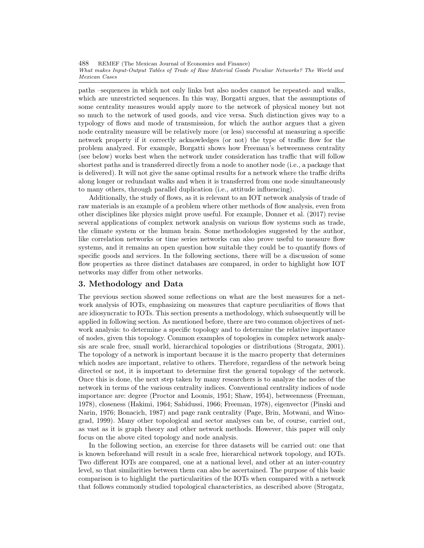488 REMEF (The Mexican Journal of Economics and Finance) What makes Input-Output Tables of Trade of Raw Material Goods Peculiar Networks? The World and Mexican Cases

paths –sequences in which not only links but also nodes cannot be repeated- and walks, which are unrestricted sequences. In this way, Borgatti argues, that the assumptions of some centrality measures would apply more to the network of physical money but not so much to the network of used goods, and vice versa. Such distinction gives way to a typology of flows and mode of transmission, for which the author argues that a given node centrality measure will be relatively more (or less) successful at measuring a specific network property if it correctly acknowledges (or not) the type of traffic flow for the problem analyzed. For example, Borgatti shows how Freeman's betweenness centrality (see below) works best when the network under consideration has traffic that will follow shortest paths and is transferred directly from a node to another node (i.e., a package that is delivered). It will not give the same optimal results for a network where the traffic drifts along longer or redundant walks and when it is transferred from one node simultaneously to many others, through parallel duplication (i.e., attitude influencing).

Additionally, the study of flows, as it is relevant to an IOT network analysis of trade of raw materials is an example of a problem where other methods of flow analysis, even from other disciplines like physics might prove useful. For example, Donner et al. (2017) revise several applications of complex network analysis on various flow systems such as trade, the climate system or the human brain. Some methodologies suggested by the author, like correlation networks or time series networks can also prove useful to measure flow systems, and it remains an open question how suitable they could be to quantify flows of specific goods and services. In the following sections, there will be a discussion of some flow properties as three distinct databases are compared, in order to highlight how IOT networks may differ from other networks.

### 3. Methodology and Data

The previous section showed some reflections on what are the best measures for a network analysis of IOTs, emphasizing on measures that capture peculiarities of flows that are idiosyncratic to IOTs. This section presents a methodology, which subsequently will be applied in following section. As mentioned before, there are two common objectives of network analysis: to determine a specific topology and to determine the relative importance of nodes, given this topology. Common examples of topologies in complex network analysis are scale free, small world, hierarchical topologies or distributions (Strogatz, 2001). The topology of a network is important because it is the macro property that determines which nodes are important, relative to others. Therefore, regardless of the network being directed or not, it is important to determine first the general topology of the network. Once this is done, the next step taken by many researchers is to analyze the nodes of the network in terms of the various centrality indices. Conventional centrality indices of node importance are: degree (Proctor and Loomis, 1951; Shaw, 1954), betweenness (Freeman, 1978), closeness (Hakimi, 1964; Sabidussi, 1966; Freeman, 1978), eigenvector (Pinski and Narin, 1976; Bonacich, 1987) and page rank centrality (Page, Brin, Motwani, and Winograd, 1999). Many other topological and sector analyses can be, of course, carried out, as vast as it is graph theory and other network methods. However, this paper will only focus on the above cited topology and node analysis.

In the following section, an exercise for three datasets will be carried out: one that is known beforehand will result in a scale free, hierarchical network topology, and IOTs. Two different IOTs are compared, one at a national level, and other at an inter-country level, so that similarities between them can also be ascertained. The purpose of this basic comparison is to highlight the particularities of the IOTs when compared with a network that follows commonly studied topological characteristics, as described above (Strogatz,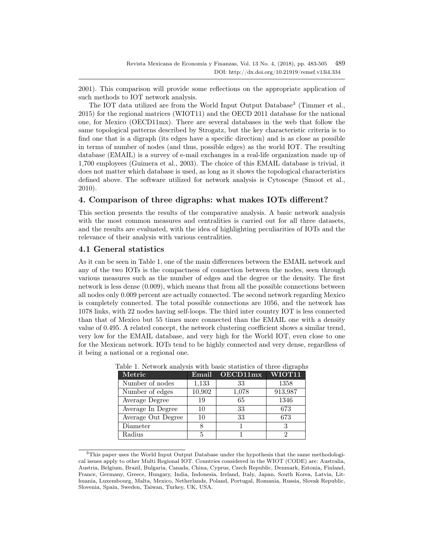2001). This comparison will provide some reflections on the appropriate application of such methods to IOT network analysis.

The IOT data utilized are from the World Input Output Database<sup>[3](#page-6-0)</sup> (Timmer et al., 2015) for the regional matrices (WIOT11) and the OECD 2011 database for the national one, for Mexico (OECD11mx). There are several databases in the web that follow the same topological patterns described by Strogatz, but the key characteristic criteria is to find one that is a digraph (its edges have a specific direction) and is as close as possible in terms of number of nodes (and thus, possible edges) as the world IOT. The resulting database (EMAIL) is a survey of e-mail exchanges in a real-life organization made up of 1,700 employees (Guimera et al., 2003). The choice of this EMAIL database is trivial, it does not matter which database is used, as long as it shows the topological characteristics defined above. The software utilized for network analysis is Cytoscape (Smoot et al., 2010).

## 4. Comparison of three digraphs: what makes IOTs different?

This section presents the results of the comparative analysis. A basic network analysis with the most common measures and centralities is carried out for all three datasets, and the results are evaluated, with the idea of highlighting peculiarities of IOTs and the relevance of their analysis with various centralities.

### 4.1 General statistics

As it can be seen in Table 1, one of the main differences between the EMAIL network and any of the two IOTs is the compactness of connection between the nodes, seen through various measures such as the number of edges and the degree or the density. The first network is less dense (0.009), which means that from all the possible connections between all nodes only 0.009 percent are actually connected. The second network regarding Mexico is completely connected. The total possible connections are 1056, and the network has 1078 links, with 22 nodes having self-loops. The third inter country IOT is less connected than that of Mexico but 55 times more connected than the EMAIL one with a density value of 0.495. A related concept, the network clustering coefficient shows a similar trend, very low for the EMAIL database, and very high for the World IOT, even close to one for the Mexican network. IOTs tend to be highly connected and very dense, regardless of it being a national or a regional one.

| Metric             | Email  | OECD11mx | WIOT11  |
|--------------------|--------|----------|---------|
| Number of nodes    | 1,133  | 33       | 1358    |
| Number of edges    | 10,902 | 1,078    | 913,987 |
| Average Degree     | 19     | 65       | 1346    |
| Average In Degree  | 10     | 33       | 673     |
| Average Out Degree | 10     | 33       | 673     |
| Diameter           |        |          |         |
| Radius             |        |          |         |

Table 1. Network analysis with basic statistics of three digraphs

<span id="page-6-0"></span><sup>3</sup>This paper uses the World Input Output Database under the hypothesis that the same methodological issues apply to other Multi Regional IOT. Countries considered in the WIOT (CODE) are: Australia, Austria, Belgium, Brazil, Bulgaria, Canada, China, Cyprus, Czech Republic, Denmark, Estonia, Finland, France, Germany, Greece, Hungary, India, Indonesia, Ireland, Italy, Japan, South Korea, Latvia, Lithuania, Luxembourg, Malta, Mexico, Netherlands, Poland, Portugal, Romania, Russia, Slovak Republic, Slovenia, Spain, Sweden, Taiwan, Turkey, UK, USA.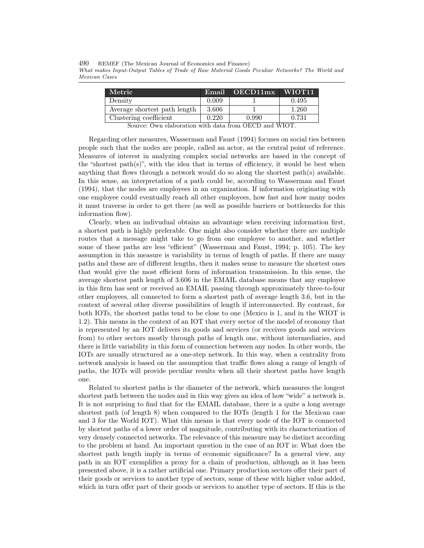490 REMEF (The Mexican Journal of Economics and Finance) What makes Input-Output Tables of Trade of Raw Material Goods Peculiar Networks? The World and Mexican Cases

| Metric <sup>1</sup>                                   | Email | OECD11mx | WIOT <sub>11</sub> |  |  |
|-------------------------------------------------------|-------|----------|--------------------|--|--|
| Density                                               | 0.009 |          | 0.495              |  |  |
| Average shortest path length                          | 3.606 |          | 1.260              |  |  |
| Clustering coefficient                                | 0.220 | 0.990    | 0.731              |  |  |
| Source: Own elaboration with data from OECD and WIOT. |       |          |                    |  |  |

Regarding other measures, Wasserman and Faust (1994) focuses on social ties between people such that the nodes are people, called an actor, as the central point of reference. Measures of interest in analyzing complex social networks are based in the concept of the "shortest path $(s)$ ", with the idea that in terms of efficiency, it would be best when anything that flows through a network would do so along the shortest path $(s)$  available. In this sense, an interpretation of a path could be, according to Wasserman and Faust (1994), that the nodes are employees in an organization. If information originating with one employee could eventually reach all other employees, how fast and how many nodes it must traverse in order to get there (as well as possible barriers or bottlenecks for this information flow).

Clearly, when an indivudual obtains an advantage when receiving information first, a shortest path is highly preferable. One might also consider whether there are multiple routes that a message might take to go from one employee to another, and whether some of these paths are less "efficient" (Wasserman and Faust, 1994; p. 105). The key assumption in this measure is variability in terms of length of paths. If there are many paths and these are of different lengths, then it makes sense to measure the shortest ones that would give the most efficient form of information transmission. In this sense, the average shortest path length of 3.606 in the EMAIL database means that any employee in this firm has sent or received an EMAIL passing through approximately three-to-four other employees, all connected to form a shortest path of average length 3.6, but in the context of several other diverse possibilities of length if interconnected. By contrast, for both IOTs, the shortest paths tend to be close to one (Mexico is 1, and in the WIOT is 1.2). This means in the context of an IOT that every sector of the model of economy that is represented by an IOT delivers its goods and services (or receives goods and services from) to other sectors mostly through paths of length one, without intermediaries, and there is little variability in this form of connection between any nodes. In other words, the IOTs are usually structured as a one-step network. In this way, when a centrality from network analysis is based on the assumption that traffic flows along a range of length of paths, the IOTs will provide peculiar results when all their shortest paths have length one.

Related to shortest paths is the diameter of the network, which measures the longest shortest path between the nodes and in this way gives an idea of how "wide" a network is. It is not surprising to find that for the EMAIL database, there is a quite a long average shortest path (of length 8) when compared to the IOTs (length 1 for the Mexican case and 3 for the World IOT). What this means is that every node of the IOT is connected by shortest paths of a lower order of magnitude, contributing with its characterization of very densely connected networks. The relevance of this measure may be distinct according to the problem at hand. An important question in the case of an IOT is: What does the shortest path length imply in terms of economic significance? In a general view, any path in an IOT exemplifies a proxy for a chain of production, although as it has been presented above, it is a rather artificial one. Primary production sectors offer their part of their goods or services to another type of sectors, some of these with higher value added, which in turn offer part of their goods or services to another type of sectors. If this is the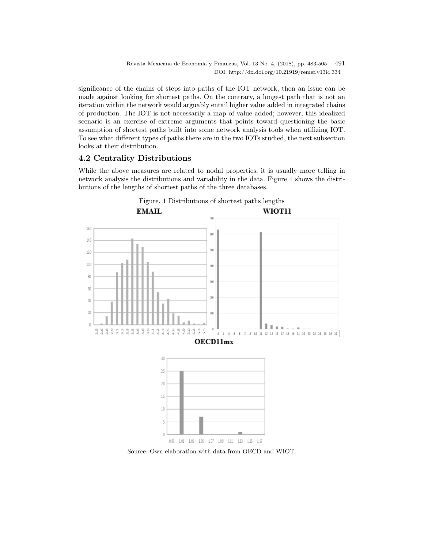significance of the chains of steps into paths of the IOT network, then an issue can be made against looking for shortest paths. On the contrary, a longest path that is not an iteration within the network would arguably entail higher value added in integrated chains of production. The IOT is not necessarily a map of value added; however, this idealized scenario is an exercise of extreme arguments that points toward questioning the basic assumption of shortest paths built into some network analysis tools when utilizing IOT. To see what different types of paths there are in the two IOTs studied, the next subsection looks at their distribution.

## 4.2 Centrality Distributions

While the above measures are related to nodal properties, it is usually more telling in network analysis the distributions and variability in the data. Figure 1 shows the distributions of the lengths of shortest paths of the three databases.



Source: Own elaboration with data from OECD and WIOT.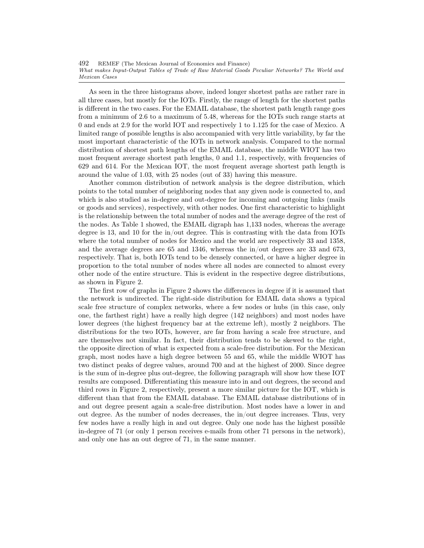492 REMEF (The Mexican Journal of Economics and Finance) What makes Input-Output Tables of Trade of Raw Material Goods Peculiar Networks? The World and Mexican Cases

As seen in the three histograms above, indeed longer shortest paths are rather rare in all three cases, but mostly for the IOTs. Firstly, the range of length for the shortest paths is different in the two cases. For the EMAIL database, the shortest path length range goes from a minimum of 2.6 to a maximum of 5.48, whereas for the IOTs such range starts at 0 and ends at 2.9 for the world IOT and respectively 1 to 1.125 for the case of Mexico. A limited range of possible lengths is also accompanied with very little variability, by far the most important characteristic of the IOTs in network analysis. Compared to the normal distribution of shortest path lengths of the EMAIL database, the middle WIOT has two most frequent average shortest path lengths, 0 and 1.1, respectively, with frequencies of 629 and 614. For the Mexican IOT, the most frequent average shortest path length is around the value of 1.03, with 25 nodes (out of 33) having this measure.

Another common distribution of network analysis is the degree distribution, which points to the total number of neighboring nodes that any given node is connected to, and which is also studied as in-degree and out-degree for incoming and outgoing links (mails or goods and services), respectively, with other nodes. One first characteristic to highlight is the relationship between the total number of nodes and the average degree of the rest of the nodes. As Table 1 showed, the EMAIL digraph has 1,133 nodes, whereas the average degree is 13, and 10 for the in/out degree. This is contrasting with the data from IOTs where the total number of nodes for Mexico and the world are respectively 33 and 1358, and the average degrees are 65 and 1346, whereas the in/out degrees are 33 and 673, respectively. That is, both IOTs tend to be densely connected, or have a higher degree in proportion to the total number of nodes where all nodes are connected to almost every other node of the entire structure. This is evident in the respective degree distributions, as shown in Figure 2.

The first row of graphs in Figure 2 shows the differences in degree if it is assumed that the network is undirected. The right-side distribution for EMAIL data shows a typical scale free structure of complex networks, where a few nodes or hubs (in this case, only one, the farthest right) have a really high degree (142 neighbors) and most nodes have lower degrees (the highest frequency bar at the extreme left), mostly 2 neighbors. The distributions for the two IOTs, however, are far from having a scale free structure, and are themselves not similar. In fact, their distribution tends to be skewed to the right, the opposite direction of what is expected from a scale-free distribution. For the Mexican graph, most nodes have a high degree between 55 and 65, while the middle WIOT has two distinct peaks of degree values, around 700 and at the highest of 2000. Since degree is the sum of in-degree plus out-degree, the following paragraph will show how these IOT results are composed. Differentiating this measure into in and out degrees, the second and third rows in Figure 2, respectively, present a more similar picture for the IOT, which is different than that from the EMAIL database. The EMAIL database distributions of in and out degree present again a scale-free distribution. Most nodes have a lower in and out degree. As the number of nodes decreases, the in/out degree increases. Thus, very few nodes have a really high in and out degree. Only one node has the highest possible in-degree of 71 (or only 1 person receives e-mails from other 71 persons in the network), and only one has an out degree of 71, in the same manner.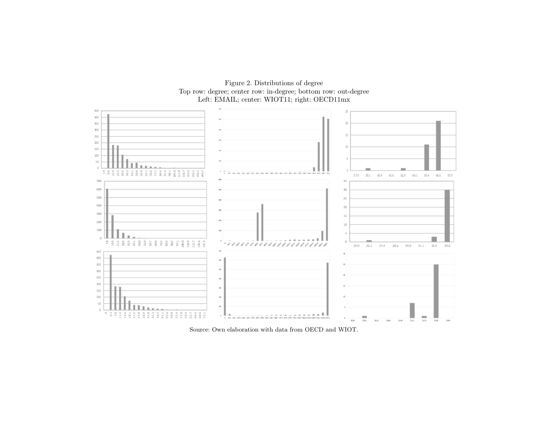

Figure 2. Distributions of degree Top row: degree; center row: in-degree; bottom row: out-degreeLeft: EMAIL; center: WIOT11; right: OECD11mx

Source: Own elaboration with data from OECD and WIOT.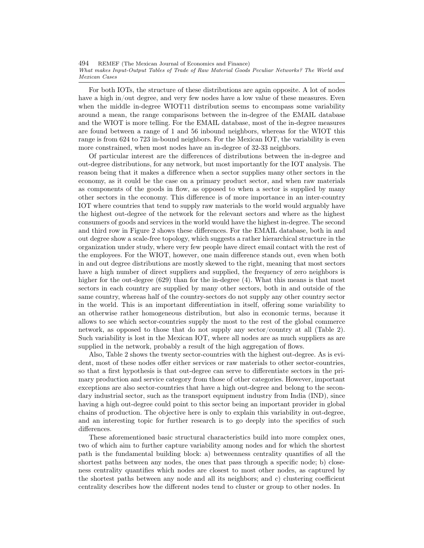494 REMEF (The Mexican Journal of Economics and Finance) What makes Input-Output Tables of Trade of Raw Material Goods Peculiar Networks? The World and Mexican Cases

For both IOTs, the structure of these distributions are again opposite. A lot of nodes have a high in/out degree, and very few nodes have a low value of these measures. Even when the middle in-degree WIOT11 distribution seems to encompass some variability around a mean, the range comparisons between the in-degree of the EMAIL database and the WIOT is more telling. For the EMAIL database, most of the in-degree measures are found between a range of 1 and 56 inbound neighbors, whereas for the WIOT this range is from 624 to 723 in-bound neighbors. For the Mexican IOT, the variability is even more constrained, when most nodes have an in-degree of 32-33 neighbors.

Of particular interest are the differences of distributions between the in-degree and out-degree distributions, for any network, but most importantly for the IOT analysis. The reason being that it makes a difference when a sector supplies many other sectors in the economy, as it could be the case on a primary product sector, and when raw materials as components of the goods in flow, as opposed to when a sector is supplied by many other sectors in the economy. This difference is of more importance in an inter-country IOT where countries that tend to supply raw materials to the world would arguably have the highest out-degree of the network for the relevant sectors and where as the highest consumers of goods and services in the world would have the highest in-degree. The second and third row in Figure 2 shows these differences. For the EMAIL database, both in and out degree show a scale-free topology, which suggests a rather hierarchical structure in the organization under study, where very few people have direct email contact with the rest of the employees. For the WIOT, however, one main difference stands out, even when both in and out degree distributions are mostly skewed to the right, meaning that most sectors have a high number of direct suppliers and supplied, the frequency of zero neighbors is higher for the out-degree (629) than for the in-degree (4). What this means is that most sectors in each country are supplied by many other sectors, both in and outside of the same country, whereas half of the country-sectors do not supply any other country sector in the world. This is an important differentiation in itself, offering some variability to an otherwise rather homogeneous distribution, but also in economic terms, because it allows to see which sector-countries supply the most to the rest of the global commerce network, as opposed to those that do not supply any sector/country at all (Table 2). Such variability is lost in the Mexican IOT, where all nodes are as much suppliers as are supplied in the network, probably a result of the high aggregation of flows.

Also, Table 2 shows the twenty sector-countries with the highest out-degree. As is evident, most of these nodes offer either services or raw materials to other sector-countries, so that a first hypothesis is that out-degree can serve to differentiate sectors in the primary production and service category from those of other categories. However, important exceptions are also sector-countries that have a high out-degree and belong to the secondary industrial sector, such as the transport equipment industry from India (IND), since having a high out-degree could point to this sector being an important provider in global chains of production. The objective here is only to explain this variability in out-degree, and an interesting topic for further research is to go deeply into the specifics of such differences.

These aforementioned basic structural characteristics build into more complex ones, two of which aim to further capture variability among nodes and for which the shortest path is the fundamental building block: a) betweenness centrality quantifies of all the shortest paths between any nodes, the ones that pass through a specific node; b) closeness centrality quantifies which nodes are closest to most other nodes, as captured by the shortest paths between any node and all its neighbors; and c) clustering coefficient centrality describes how the different nodes tend to cluster or group to other nodes. In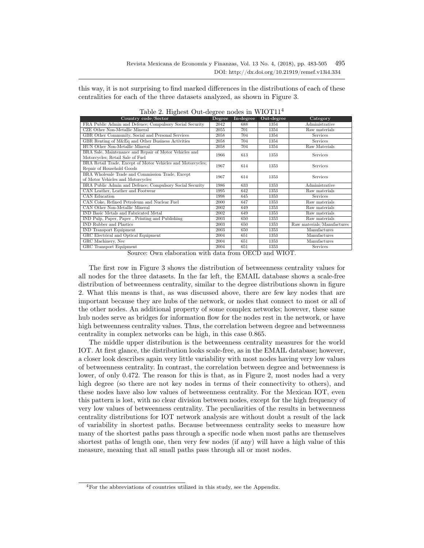this way, it is not surprising to find marked differences in the distributions of each of these centralities for each of the three datasets analyzed, as shown in Figure 3.

|                                                                                            | $\epsilon$ $\rightarrow$ |           |            |                            |
|--------------------------------------------------------------------------------------------|--------------------------|-----------|------------|----------------------------|
| Country code/Sector                                                                        | Degree                   | In-degree | Out-degree | Category                   |
| FRA Public Admin and Defence; Compulsory Social Security                                   | 2042                     | 688       | 1354       | Administrative             |
| CZE Other Non-Metallic Mineral                                                             | 2055                     | 701       | 1354       | Raw materials              |
| GBR Other Community, Social and Personal Services                                          | 2058                     | 704       | 1354       | <b>Services</b>            |
| GBR Renting of M&Eq and Other Business Activities                                          | 2058                     | 704       | 1354       | <b>Services</b>            |
| HUN Other Non-Metallic Mineral                                                             | 2058                     | 704       | 1354       | Raw Materials              |
| BRA Sale, Maintenance and Repair of Motor Vehicles and<br>Motorcycles; Retail Sale of Fuel | 1966                     | 613       | 1353       | Services                   |
| BRA Retail Trade, Except of Motor Vehicles and Motorcycles;<br>Repair of Household Goods   | 1967                     | 614       | 1353       | <b>Services</b>            |
| BRA Wholesale Trade and Commission Trade, Except<br>of Motor Vehicles and Motorcycles      | 1967                     | 614       | 1353       | <b>Services</b>            |
| BRA Public Admin and Defence; Compulsory Social Security                                   | 1986                     | 633       | 1353       | Administrative             |
| CAN Leather, Leather and Footwear                                                          | 1995                     | 642       | 1353       | Raw materials              |
| <b>CAN</b> Education                                                                       | 1998                     | 645       | 1353       | <b>Services</b>            |
| CAN Coke, Refined Petroleum and Nuclear Fuel                                               | 2000                     | 647       | 1353       | Raw materials              |
| CAN Other Non-Metallic Mineral                                                             | 2002                     | 649       | 1353       | Raw materials              |
| IND Basic Metals and Fabricated Metal                                                      | 2002                     | 649       | 1353       | Raw materials              |
| IND Pulp, Paper, Paper, Printing and Publishing                                            | 2003                     | 650       | 1353       | Raw materials              |
| <b>IND Rubber and Plastics</b>                                                             | 2003                     | 650       | 1353       | Raw materials/Manufactures |
| <b>IND Transport Equipment</b>                                                             | 2003                     | 650       | 1353       | Manufactures               |
| GRC Electrical and Optical Equipment                                                       | 2004                     | 651       | 1353       | Manufactures               |
| GRC Machinery, Nec.                                                                        | 2004                     | 651       | 1353       | Manufactures               |
| GRC Transport Equipment                                                                    | 2004                     | 651       | 1353       | <b>Services</b>            |

Table 2. Highest Out-degree nodes in WIOT11[4](#page-12-0)

Source: Own elaboration with data from OECD and WIOT.

The first row in Figure 3 shows the distribution of betweenness centrality values for all nodes for the three datasets. In the far left, the EMAIL database shows a scale-free distribution of betweenness centrality, similar to the degree distributions shown in figure 2. What this means is that, as was discussed above, there are few key nodes that are important because they are hubs of the network, or nodes that connect to most or all of the other nodes. An additional property of some complex networks; however, these same hub nodes serve as bridges for information flow for the nodes rest in the network, or have high betweenness centrality values. Thus, the correlation between degree and betweenness centrality in complex networks can be high, in this case 0.865.

The middle upper distribution is the betweenness centrality measures for the world IOT. At first glance, the distribution looks scale-free, as in the EMAIL database; however, a closer look describes again very little variability with most nodes having very low values of betweenness centrality. In contrast, the correlation between degree and betweenness is lower, of only 0.472. The reason for this is that, as in Figure 2, most nodes had a very high degree (so there are not key nodes in terms of their connectivity to others), and these nodes have also low values of betweenness centrality. For the Mexican IOT, even this pattern is lost, with no clear division between nodes, except for the high frequency of very low values of betweenness centrality. The peculiarities of the results in betweenness centrality distributions for IOT network analysis are without doubt a result of the lack of variability in shortest paths. Because betweenness centrality seeks to measure how many of the shortest paths pass through a specific node when most paths are themselves shortest paths of length one, then very few nodes (if any) will have a high value of this measure, meaning that all small paths pass through all or most nodes.

<span id="page-12-0"></span><sup>4</sup>For the abbreviations of countries utilized in this study, see the Appendix.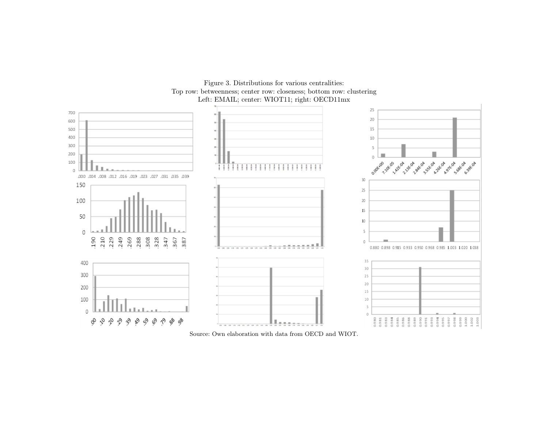

Figure 3. Distributions for various centralities: Top row: betweenness; center row: closeness; bottom row: clusteringLeft: EMAIL; center: WIOT11; right: OECD11mx

Source: Own elaboration with data from OECD and WIOT.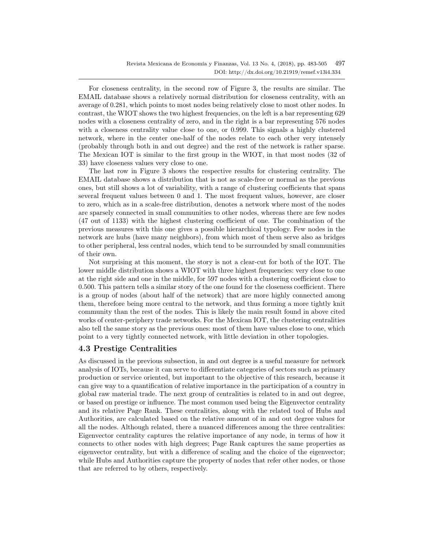For closeness centrality, in the second row of Figure 3, the results are similar. The EMAIL database shows a relatively normal distribution for closeness centrality, with an average of 0.281, which points to most nodes being relatively close to most other nodes. In contrast, the WIOT shows the two highest frequencies, on the left is a bar representing 629 nodes with a closeness centrality of zero, and in the right is a bar representing 576 nodes with a closeness centrality value close to one, or 0.999. This signals a highly clustered network, where in the center one-half of the nodes relate to each other very intensely (probably through both in and out degree) and the rest of the network is rather sparse. The Mexican IOT is similar to the first group in the WIOT, in that most nodes (32 of 33) have closeness values very close to one.

The last row in Figure 3 shows the respective results for clustering centrality. The EMAIL database shows a distribution that is not as scale-free or normal as the previous ones, but still shows a lot of variability, with a range of clustering coefficients that spans several frequent values between 0 and 1. The most frequent values, however, are closer to zero, which as in a scale-free distribution, denotes a network where most of the nodes are sparsely connected in small communities to other nodes, whereas there are few nodes (47 out of 1133) with the highest clustering coefficient of one. The combination of the previous measures with this one gives a possible hierarchical typology. Few nodes in the network are hubs (have many neighbors), from which most of them serve also as bridges to other peripheral, less central nodes, which tend to be surrounded by small communities of their own.

Not surprising at this moment, the story is not a clear-cut for both of the IOT. The lower middle distribution shows a WIOT with three highest frequencies: very close to one at the right side and one in the middle, for 597 nodes with a clustering coefficient close to 0.500. This pattern tells a similar story of the one found for the closeness coefficient. There is a group of nodes (about half of the network) that are more highly connected among them, therefore being more central to the network, and thus forming a more tightly knit community than the rest of the nodes. This is likely the main result found in above cited works of center-periphery trade networks. For the Mexican IOT, the clustering centralities also tell the same story as the previous ones: most of them have values close to one, which point to a very tightly connected network, with little deviation in other topologies.

### 4.3 Prestige Centralities

As discussed in the previous subsection, in and out degree is a useful measure for network analysis of IOTs, because it can serve to differentiate categories of sectors such as primary production or service oriented, but important to the objective of this research, because it can give way to a quantification of relative importance in the participation of a country in global raw material trade. The next group of centralities is related to in and out degree, or based on prestige or influence. The most common used being the Eigenvector centrality and its relative Page Rank. These centralities, along with the related tool of Hubs and Authorities, are calculated based on the relative amount of in and out degree values for all the nodes. Although related, there a nuanced differences among the three centralities: Eigenvector centrality captures the relative importance of any node, in terms of how it connects to other nodes with high degrees; Page Rank captures the same properties as eigenvector centrality, but with a difference of scaling and the choice of the eigenvector; while Hubs and Authorities capture the property of nodes that refer other nodes, or those that are referred to by others, respectively.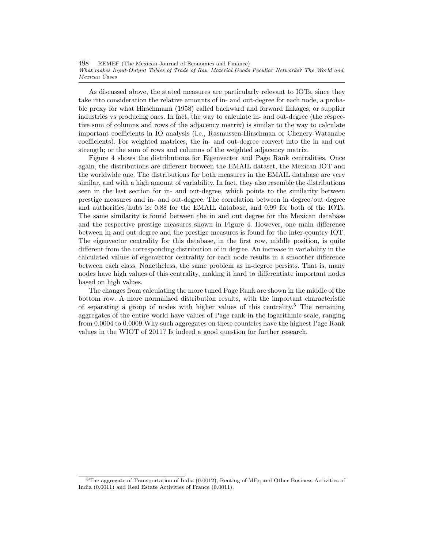498 REMEF (The Mexican Journal of Economics and Finance) What makes Input-Output Tables of Trade of Raw Material Goods Peculiar Networks? The World and Mexican Cases

As discussed above, the stated measures are particularly relevant to IOTs, since they take into consideration the relative amounts of in- and out-degree for each node, a probable proxy for what Hirschmann (1958) called backward and forward linkages, or supplier industries vs producing ones. In fact, the way to calculate in- and out-degree (the respective sum of columns and rows of the adjacency matrix) is similar to the way to calculate important coefficients in IO analysis (i.e., Rasmussen-Hirschman or Chenery-Watanabe coefficients). For weighted matrices, the in- and out-degree convert into the in and out strength; or the sum of rows and columns of the weighted adjacency matrix.

Figure 4 shows the distributions for Eigenvector and Page Rank centralities. Once again, the distributions are different between the EMAIL dataset, the Mexican IOT and the worldwide one. The distributions for both measures in the EMAIL database are very similar, and with a high amount of variability. In fact, they also resemble the distributions seen in the last section for in- and out-degree, which points to the similarity between prestige measures and in- and out-degree. The correlation between in degree/out degree and authorities/hubs is: 0.88 for the EMAIL database, and 0.99 for both of the IOTs. The same similarity is found between the in and out degree for the Mexican database and the respective prestige measures shown in Figure 4. However, one main difference between in and out degree and the prestige measures is found for the inter-country IOT. The eigenvector centrality for this database, in the first row, middle position, is quite different from the corresponding distribution of in degree. An increase in variability in the calculated values of eigenvector centrality for each node results in a smoother difference between each class. Nonetheless, the same problem as in-degree persists. That is, many nodes have high values of this centrality, making it hard to differentiate important nodes based on high values.

The changes from calculating the more tuned Page Rank are shown in the middle of the bottom row. A more normalized distribution results, with the important characteristic of separating a group of nodes with higher values of this centrality.<sup>[5](#page-15-0)</sup> The remaining aggregates of the entire world have values of Page rank in the logarithmic scale, ranging from 0.0004 to 0.0009.Why such aggregates on these countries have the highest Page Rank values in the WIOT of 2011? Is indeed a good question for further research.

<span id="page-15-0"></span><sup>&</sup>lt;sup>5</sup>The aggregate of Transportation of India (0.0012), Renting of MEq and Other Business Activities of India (0.0011) and Real Estate Activities of France (0.0011).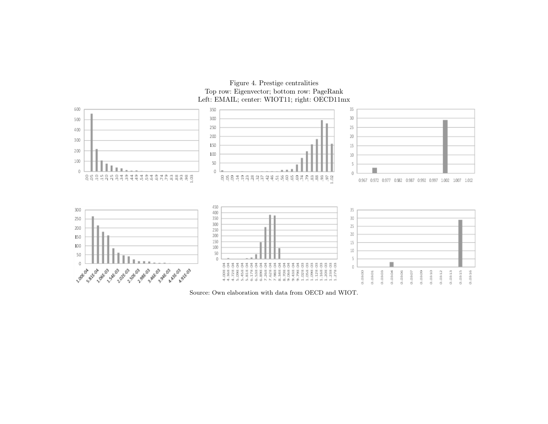

Figure 4. Prestige centralities Top row: Eigenvector; bottom row: PageRankLeft: EMAIL; center: WIOT11; right: OECD11mx

Source: Own elaboration with data from OECD and WIOT.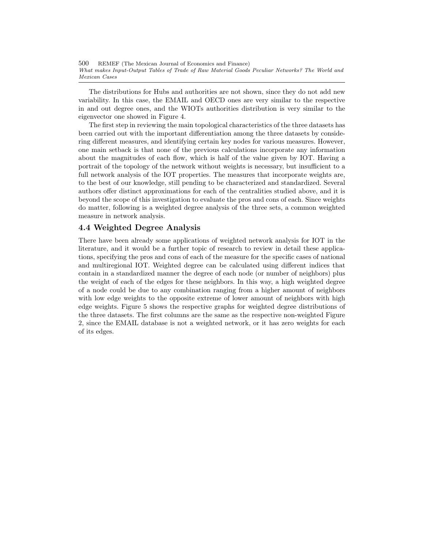500 REMEF (The Mexican Journal of Economics and Finance) What makes Input-Output Tables of Trade of Raw Material Goods Peculiar Networks? The World and Mexican Cases

The distributions for Hubs and authorities are not shown, since they do not add new variability. In this case, the EMAIL and OECD ones are very similar to the respective in and out degree ones, and the WIOTs authorities distribution is very similar to the eigenvector one showed in Figure 4.

The first step in reviewing the main topological characteristics of the three datasets has been carried out with the important differentiation among the three datasets by considering different measures, and identifying certain key nodes for various measures. However, one main setback is that none of the previous calculations incorporate any information about the magnitudes of each flow, which is half of the value given by IOT. Having a portrait of the topology of the network without weights is necessary, but insufficient to a full network analysis of the IOT properties. The measures that incorporate weights are, to the best of our knowledge, still pending to be characterized and standardized. Several authors offer distinct approximations for each of the centralities studied above, and it is beyond the scope of this investigation to evaluate the pros and cons of each. Since weights do matter, following is a weighted degree analysis of the three sets, a common weighted measure in network analysis.

### 4.4 Weighted Degree Analysis

There have been already some applications of weighted network analysis for IOT in the literature, and it would be a further topic of research to review in detail these applications, specifying the pros and cons of each of the measure for the specific cases of national and multiregional IOT. Weighted degree can be calculated using different indices that contain in a standardized manner the degree of each node (or number of neighbors) plus the weight of each of the edges for these neighbors. In this way, a high weighted degree of a node could be due to any combination ranging from a higher amount of neighbors with low edge weights to the opposite extreme of lower amount of neighbors with high edge weights. Figure 5 shows the respective graphs for weighted degree distributions of the three datasets. The first columns are the same as the respective non-weighted Figure 2, since the EMAIL database is not a weighted network, or it has zero weights for each of its edges.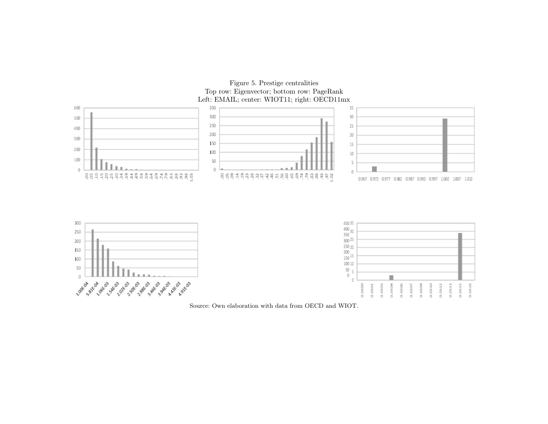

Figure 5. Prestige centralitiesTop row: Eigenvector; bottom row: PageRank

Source: Own elaboration with data from OECD and WIOT.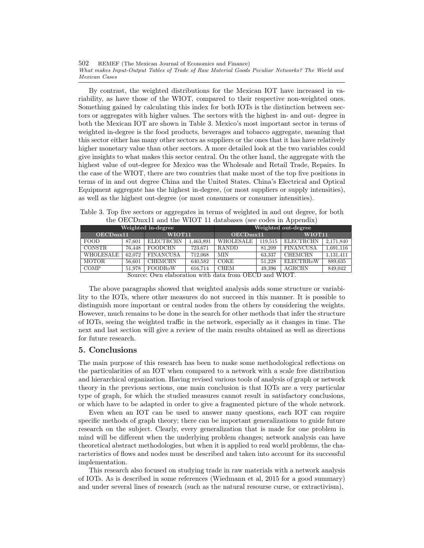502 REMEF (The Mexican Journal of Economics and Finance) What makes Input-Output Tables of Trade of Raw Material Goods Peculiar Networks? The World and Mexican Cases

By contrast, the weighted distributions for the Mexican IOT have increased in variability, as have those of the WIOT, compared to their respective non-weighted ones. Something gained by calculating this index for both IOTs is the distinction between sectors or aggregates with higher values. The sectors with the highest in- and out- degree in both the Mexican IOT are shown in Table 3. Mexico's most important sector in terms of weighted in-degree is the food products, beverages and tobacco aggregate, meaning that this sector either has many other sectors as suppliers or the ones that it has have relatively higher monetary value than other sectors. A more detailed look at the two variables could give insights to what makes this sector central. On the other hand, the aggregate with the highest value of out-degree for Mexico was the Wholesale and Retail Trade, Repairs. In the case of the WIOT, there are two countries that make most of the top five positions in terms of in and out degree China and the United States. China's Electrical and Optical Equipment aggregate has the highest in-degree, (or most suppliers or supply intensities), as well as the highest out-degree (or most consumers or consumer intensities).

|  |  | Table 3. Top five sectors or aggregates in terms of weighted in and out degree, for both |  |
|--|--|------------------------------------------------------------------------------------------|--|
|  |  | the OECDmx11 and the WIOT 11 databases (see codes in Appendix)                           |  |

| Weighted in-degree                                                             |        |                  | Weighted out-degree |                      |         |                  |           |
|--------------------------------------------------------------------------------|--------|------------------|---------------------|----------------------|---------|------------------|-----------|
| OECDmx11                                                                       |        | WIOT11           |                     | OECDm <sub>x11</sub> |         | WIOT11           |           |
| <b>FOOD</b>                                                                    | 87.601 | <b>ELECTRCHN</b> | .463,891            | WHOLESALE            | 119.515 | <b>ELECTRCHN</b> | 2.171.840 |
| <b>CONSTR</b>                                                                  | 76.448 | <b>FOODCHN</b>   | 723.671             | <b>RANDD</b>         | 81.209  | <b>FINANCUSA</b> | 1.691.116 |
| WHOLESALE                                                                      | 62,072 | <b>FINANCUSA</b> | 712.068             | MIN                  | 63.337  | <b>CHEMCHN</b>   | 1,131,411 |
| <b>MOTOR</b>                                                                   | 56.601 | <b>CHEMCHN</b>   | 640.582             | COKE                 | 51.228  | <b>ELECTRRoW</b> | 889.635   |
| <b>COMP</b>                                                                    | 51.978 | FOODRoW          | 616.714             | <b>CHEM</b>          | 49.396  | <b>AGRCHN</b>    | 849,042   |
| $S_{\text{oumon}}$ $Q_{\text{um}}$ elemention with data from $QFCD$ and $WIOT$ |        |                  |                     |                      |         |                  |           |

Source: Own elaboration with data from OECD and WIOT.

The above paragraphs showed that weighted analysis adds some structure or variability to the IOTs, where other measures do not succeed in this manner. It is possible to distinguish more important or central nodes from the others by considering the weights. However, much remains to be done in the search for other methods that infer the structure of IOTs, seeing the weighted traffic in the network, especially as it changes in time. The next and last section will give a review of the main results obtained as well as directions for future research.

#### 5. Conclusions

The main purpose of this research has been to make some methodological reflections on the particularities of an IOT when compared to a network with a scale free distribution and hierarchical organization. Having revised various tools of analysis of graph or network theory in the previous sections, one main conclusion is that IOTs are a very particular type of graph, for which the studied measures cannot result in satisfactory conclusions, or which have to be adapted in order to give a fragmented picture of the whole network.

Even when an IOT can be used to answer many questions, each IOT can require specific methods of graph theory; there can be important generalizations to guide future research on the subject. Clearly, every generalization that is made for one problem in mind will be different when the underlying problem changes; network analysis can have theoretical abstract methodologies, but when it is applied to real world problems, the characteristics of flows and nodes must be described and taken into account for its successful implementation.

This research also focused on studying trade in raw materials with a network analysis of IOTs. As is described in some references (Wiedmann et al, 2015 for a good summary) and under several lines of research (such as the natural resourse curse, or extractivism),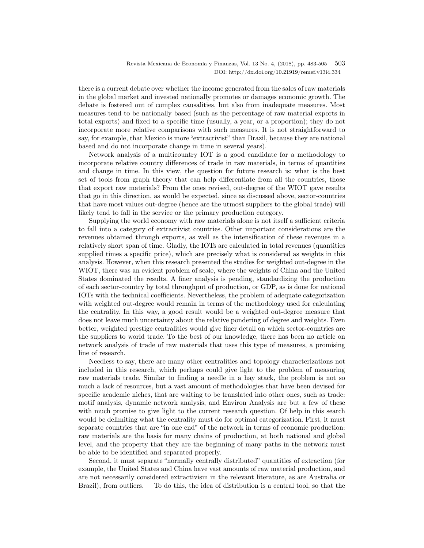there is a current debate over whether the income generated from the sales of raw materials in the global market and invested nationally promotes or damages economic growth. The debate is fostered out of complex causalities, but also from inadequate measures. Most measures tend to be nationally based (such as the percentage of raw material exports in total exports) and fixed to a specific time (usually, a year, or a proportion); they do not incorporate more relative comparisons with such measures. It is not straightforward to say, for example, that Mexico is more "extractivist" than Brazil, because they are national based and do not incorporate change in time in several years).

Network analysis of a multicountry IOT is a good candidate for a methodology to incorporate relative country differences of trade in raw materials, in terms of quantities and change in time. In this view, the question for future research is: what is the best set of tools from graph theory that can help differentiate from all the countries, those that export raw materials? From the ones revised, out-degree of the WIOT gave results that go in this direction, as would be expected, since as discussed above, sector-countries that have most values out-degree (hence are the utmost suppliers to the global trade) will likely tend to fall in the service or the primary production category.

Supplying the world economy with raw materials alone is not itself a sufficient criteria to fall into a category of extractivist countries. Other important considerations are the revenues obtained through exports, as well as the intensification of these revenues in a relatively short span of time. Gladly, the IOTs are calculated in total revenues (quantities supplied times a specific price), which are precisely what is considered as weights in this analysis. However, when this research presented the studies for weighted out-degree in the WIOT, there was an evident problem of scale, where the weights of China and the United States dominated the results. A finer analysis is pending, standardizing the production of each sector-country by total throughput of production, or GDP, as is done for national IOTs with the technical coefficients. Nevertheless, the problem of adequate categorization with weighted out-degree would remain in terms of the methodology used for calculating the centrality. In this way, a good result would be a weighted out-degree measure that does not leave much uncertainty about the relative pondering of degree and weights. Even better, weighted prestige centralities would give finer detail on which sector-countries are the suppliers to world trade. To the best of our knowledge, there has been no article on network analysis of trade of raw materials that uses this type of measures, a promising line of research.

Needless to say, there are many other centralities and topology characterizations not included in this research, which perhaps could give light to the problem of measuring raw materials trade. Similar to finding a needle in a hay stack, the problem is not so much a lack of resources, but a vast amount of methodologies that have been devised for specific academic niches, that are waiting to be translated into other ones, such as trade: motif analysis, dynamic network analysis, and Environ Analysis are but a few of these with much promise to give light to the current research question. Of help in this search would be delimiting what the centrality must do for optimal categorization. First, it must separate countries that are "in one end" of the network in terms of economic production: raw materials are the basis for many chains of production, at both national and global level, and the property that they are the beginning of many paths in the network must be able to be identified and separated properly.

Second, it must separate "normally centrally distributed" quantities of extraction (for example, the United States and China have vast amounts of raw material production, and are not necessarily considered extractivism in the relevant literature, as are Australia or Brazil), from outliers. To do this, the idea of distribution is a central tool, so that the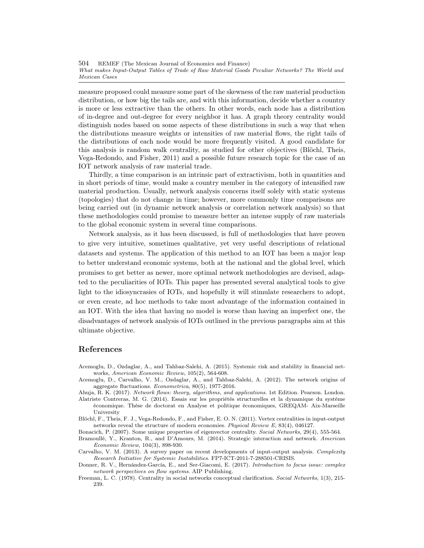504 REMEF (The Mexican Journal of Economics and Finance) What makes Input-Output Tables of Trade of Raw Material Goods Peculiar Networks? The World and Mexican Cases

measure proposed could measure some part of the skewness of the raw material production distribution, or how big the tails are, and with this information, decide whether a country is more or less extractive than the others. In other words, each node has a distribution of in-degree and out-degree for every neighbor it has. A graph theory centrality would distinguish nodes based on some aspects of these distributions in such a way that when the distributions measure weights or intensities of raw material flows, the right tails of the distributions of each node would be more frequently visited. A good candidate for this analysis is random walk centrality, as studied for other objectives (Blöchl, Theis, Vega-Redondo, and Fisher, 2011) and a possible future research topic for the case of an IOT network analysis of raw material trade.

Thirdly, a time comparison is an intrinsic part of extractivism, both in quantities and in short periods of time, would make a country member in the category of intensified raw material production. Usually, network analysis concerns itself solely with static systems (topologies) that do not change in time; however, more commonly time comparisons are being carried out (in dynamic network analysis or correlation network analysis) so that these methodologies could promise to measure better an intense supply of raw materials to the global economic system in several time comparisons.

Network analysis, as it has been discussed, is full of methodologies that have proven to give very intuitive, sometimes qualitative, yet very useful descriptions of relational datasets and systems. The application of this method to an IOT has been a major leap to better understand economic systems, both at the national and the global level, which promises to get better as newer, more optimal network methodologies are devised, adapted to the peculiarities of IOTs. This paper has presented several analytical tools to give light to the idiosyncrasies of IOTs, and hopefully it will stimulate researchers to adopt, or even create, ad hoc methods to take most advantage of the information contained in an IOT. With the idea that having no model is worse than having an imperfect one, the disadvantages of network analysis of IOTs outlined in the previous paragraphs aim at this ultimate objective.

#### References

- Acemoglu, D., Ozdaglar, A., and Tahbaz-Salehi, A. (2015). Systemic risk and stability in financial networks, American Economic Review, 105(2), 564-608.
- Acemoglu, D., Carvalho, V. M., Ozdaglar, A., and Tahbaz-Salehi, A. (2012). The network origins of aggregate fluctuations. Econometrica, 80(5), 1977-2016.
- Ahuja, R. K. (2017). Network flows: theory, algorithms, and applications. 1st Edition. Pearson. London.
- Alatriste Contreras, M. G. (2014). Essais sur les propriétés structurelles et la dynamique du système économique. Thèse de doctorat en Analyse et politique économiques, GREQAM- Aix-Marseille University
- Blöchl, F., Theis, F. J., Vega-Redondo, F., and Fisher, E. O. N. (2011). Vertex centralities in input-output networks reveal the structure of modern economies. Physical Review E, 83(4), 046127.

Bonacich, P. (2007). Some unique properties of eigenvector centrality. Social Networks, 29(4), 555-564. Bramoullé, Y., Kranton, R., and D'Amours, M. (2014). Strategic interaction and network. American

Economic Review, 104(3), 898-930.

- Carvalho, V. M. (2013). A survey paper on recent developments of input-output analysis. Complexity Research Initiative for Systemic Instabilities. FP7-ICT-2011-7-288501-CRISIS.
- Donner, R. V., Hernández-García, E., and Ser-Giacomi, E. (2017). Introduction to focus issue: complex network perspectives on flow systems. AIP Publishing.
- Freeman, L. C. (1978). Centrality in social networks conceptual clarification. Social Networks, 1(3), 215- 239.